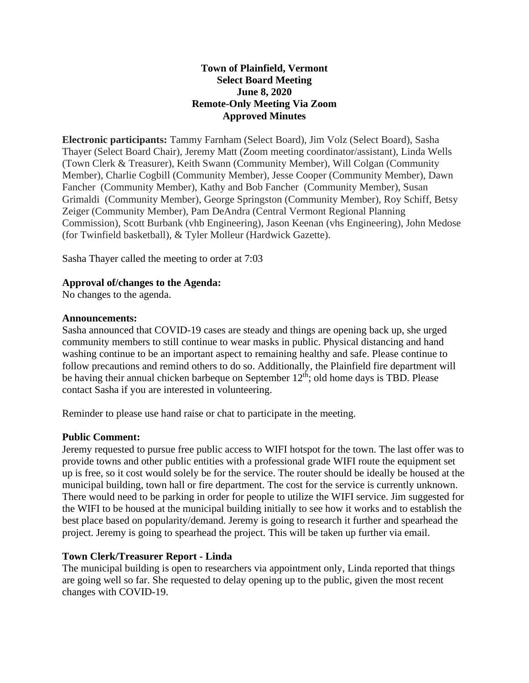## **Town of Plainfield, Vermont Select Board Meeting June 8, 2020 Remote-Only Meeting Via Zoom Approved Minutes**

**Electronic participants:** Tammy Farnham (Select Board), Jim Volz (Select Board), Sasha Thayer (Select Board Chair), Jeremy Matt (Zoom meeting coordinator/assistant), Linda Wells (Town Clerk & Treasurer), Keith Swann (Community Member), Will Colgan (Community Member), Charlie Cogbill (Community Member), Jesse Cooper (Community Member), Dawn Fancher (Community Member), Kathy and Bob Fancher (Community Member), Susan Grimaldi (Community Member), George Springston (Community Member), Roy Schiff, Betsy Zeiger (Community Member), Pam DeAndra (Central Vermont Regional Planning Commission), Scott Burbank (vhb Engineering), Jason Keenan (vhs Engineering), John Medose (for Twinfield basketball), & Tyler Molleur (Hardwick Gazette).

Sasha Thayer called the meeting to order at 7:03

## **Approval of/changes to the Agenda:**

No changes to the agenda.

## **Announcements:**

Sasha announced that COVID-19 cases are steady and things are opening back up, she urged community members to still continue to wear masks in public. Physical distancing and hand washing continue to be an important aspect to remaining healthy and safe. Please continue to follow precautions and remind others to do so. Additionally, the Plainfield fire department will be having their annual chicken barbeque on September  $12<sup>th</sup>$ ; old home days is TBD. Please contact Sasha if you are interested in volunteering.

Reminder to please use hand raise or chat to participate in the meeting.

## **Public Comment:**

Jeremy requested to pursue free public access to WIFI hotspot for the town. The last offer was to provide towns and other public entities with a professional grade WIFI route the equipment set up is free, so it cost would solely be for the service. The router should be ideally be housed at the municipal building, town hall or fire department. The cost for the service is currently unknown. There would need to be parking in order for people to utilize the WIFI service. Jim suggested for the WIFI to be housed at the municipal building initially to see how it works and to establish the best place based on popularity/demand. Jeremy is going to research it further and spearhead the project. Jeremy is going to spearhead the project. This will be taken up further via email.

## **Town Clerk/Treasurer Report - Linda**

The municipal building is open to researchers via appointment only, Linda reported that things are going well so far. She requested to delay opening up to the public, given the most recent changes with COVID-19.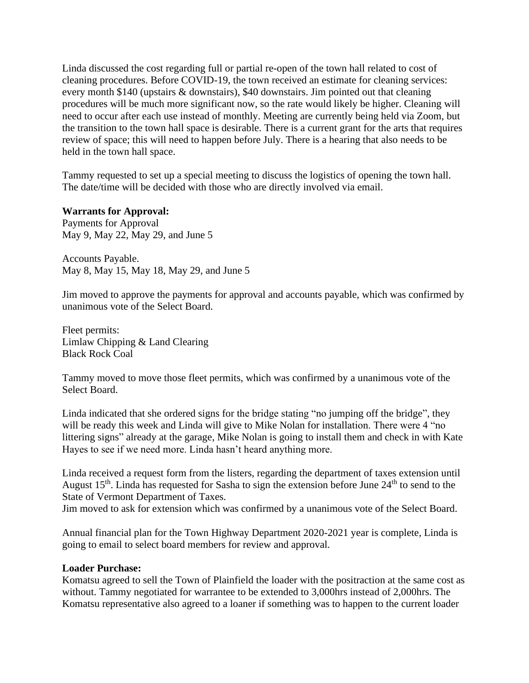Linda discussed the cost regarding full or partial re-open of the town hall related to cost of cleaning procedures. Before COVID-19, the town received an estimate for cleaning services: every month \$140 (upstairs & downstairs), \$40 downstairs. Jim pointed out that cleaning procedures will be much more significant now, so the rate would likely be higher. Cleaning will need to occur after each use instead of monthly. Meeting are currently being held via Zoom, but the transition to the town hall space is desirable. There is a current grant for the arts that requires review of space; this will need to happen before July. There is a hearing that also needs to be held in the town hall space.

Tammy requested to set up a special meeting to discuss the logistics of opening the town hall. The date/time will be decided with those who are directly involved via email.

#### **Warrants for Approval:**

Payments for Approval May 9, May 22, May 29, and June 5

Accounts Payable. May 8, May 15, May 18, May 29, and June 5

Jim moved to approve the payments for approval and accounts payable, which was confirmed by unanimous vote of the Select Board.

Fleet permits: Limlaw Chipping & Land Clearing Black Rock Coal

Tammy moved to move those fleet permits, which was confirmed by a unanimous vote of the Select Board.

Linda indicated that she ordered signs for the bridge stating "no jumping off the bridge", they will be ready this week and Linda will give to Mike Nolan for installation. There were 4 "no" littering signs" already at the garage, Mike Nolan is going to install them and check in with Kate Hayes to see if we need more. Linda hasn't heard anything more.

Linda received a request form from the listers, regarding the department of taxes extension until August  $15<sup>th</sup>$ . Linda has requested for Sasha to sign the extension before June  $24<sup>th</sup>$  to send to the State of Vermont Department of Taxes.

Jim moved to ask for extension which was confirmed by a unanimous vote of the Select Board.

Annual financial plan for the Town Highway Department 2020-2021 year is complete, Linda is going to email to select board members for review and approval.

#### **Loader Purchase:**

Komatsu agreed to sell the Town of Plainfield the loader with the positraction at the same cost as without. Tammy negotiated for warrantee to be extended to 3,000hrs instead of 2,000hrs. The Komatsu representative also agreed to a loaner if something was to happen to the current loader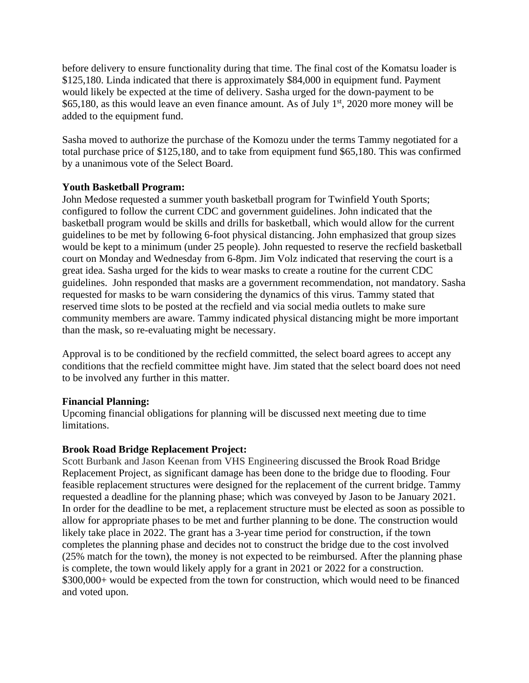before delivery to ensure functionality during that time. The final cost of the Komatsu loader is \$125,180. Linda indicated that there is approximately \$84,000 in equipment fund. Payment would likely be expected at the time of delivery. Sasha urged for the down-payment to be \$65,180, as this would leave an even finance amount. As of July  $1<sup>st</sup>$ , 2020 more money will be added to the equipment fund.

Sasha moved to authorize the purchase of the Komozu under the terms Tammy negotiated for a total purchase price of \$125,180, and to take from equipment fund \$65,180. This was confirmed by a unanimous vote of the Select Board.

# **Youth Basketball Program:**

John Medose requested a summer youth basketball program for Twinfield Youth Sports; configured to follow the current CDC and government guidelines. John indicated that the basketball program would be skills and drills for basketball, which would allow for the current guidelines to be met by following 6-foot physical distancing. John emphasized that group sizes would be kept to a minimum (under 25 people). John requested to reserve the recfield basketball court on Monday and Wednesday from 6-8pm. Jim Volz indicated that reserving the court is a great idea. Sasha urged for the kids to wear masks to create a routine for the current CDC guidelines. John responded that masks are a government recommendation, not mandatory. Sasha requested for masks to be warn considering the dynamics of this virus. Tammy stated that reserved time slots to be posted at the recfield and via social media outlets to make sure community members are aware. Tammy indicated physical distancing might be more important than the mask, so re-evaluating might be necessary.

Approval is to be conditioned by the recfield committed, the select board agrees to accept any conditions that the recfield committee might have. Jim stated that the select board does not need to be involved any further in this matter.

## **Financial Planning:**

Upcoming financial obligations for planning will be discussed next meeting due to time limitations.

# **Brook Road Bridge Replacement Project:**

Scott Burbank and Jason Keenan from VHS Engineering discussed the Brook Road Bridge Replacement Project, as significant damage has been done to the bridge due to flooding. Four feasible replacement structures were designed for the replacement of the current bridge. Tammy requested a deadline for the planning phase; which was conveyed by Jason to be January 2021. In order for the deadline to be met, a replacement structure must be elected as soon as possible to allow for appropriate phases to be met and further planning to be done. The construction would likely take place in 2022. The grant has a 3-year time period for construction, if the town completes the planning phase and decides not to construct the bridge due to the cost involved (25% match for the town), the money is not expected to be reimbursed. After the planning phase is complete, the town would likely apply for a grant in 2021 or 2022 for a construction. \$300,000+ would be expected from the town for construction, which would need to be financed and voted upon.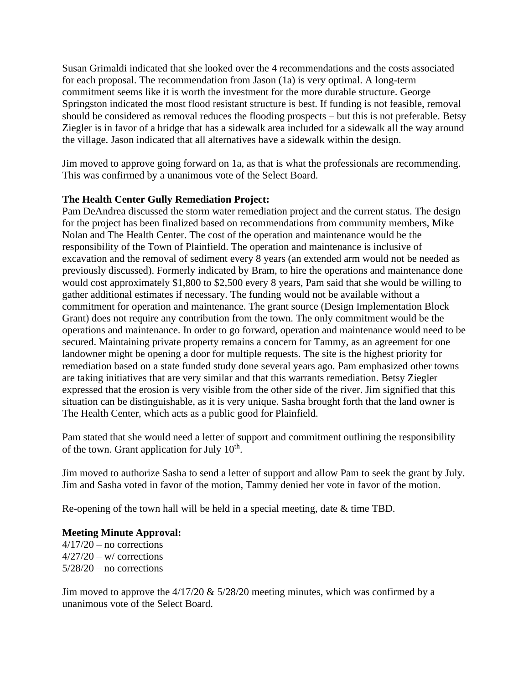Susan Grimaldi indicated that she looked over the 4 recommendations and the costs associated for each proposal. The recommendation from Jason (1a) is very optimal. A long-term commitment seems like it is worth the investment for the more durable structure. George Springston indicated the most flood resistant structure is best. If funding is not feasible, removal should be considered as removal reduces the flooding prospects – but this is not preferable. Betsy Ziegler is in favor of a bridge that has a sidewalk area included for a sidewalk all the way around the village. Jason indicated that all alternatives have a sidewalk within the design.

Jim moved to approve going forward on 1a, as that is what the professionals are recommending. This was confirmed by a unanimous vote of the Select Board.

## **The Health Center Gully Remediation Project:**

Pam DeAndrea discussed the storm water remediation project and the current status. The design for the project has been finalized based on recommendations from community members, Mike Nolan and The Health Center. The cost of the operation and maintenance would be the responsibility of the Town of Plainfield. The operation and maintenance is inclusive of excavation and the removal of sediment every 8 years (an extended arm would not be needed as previously discussed). Formerly indicated by Bram, to hire the operations and maintenance done would cost approximately \$1,800 to \$2,500 every 8 years, Pam said that she would be willing to gather additional estimates if necessary. The funding would not be available without a commitment for operation and maintenance. The grant source (Design Implementation Block Grant) does not require any contribution from the town. The only commitment would be the operations and maintenance. In order to go forward, operation and maintenance would need to be secured. Maintaining private property remains a concern for Tammy, as an agreement for one landowner might be opening a door for multiple requests. The site is the highest priority for remediation based on a state funded study done several years ago. Pam emphasized other towns are taking initiatives that are very similar and that this warrants remediation. Betsy Ziegler expressed that the erosion is very visible from the other side of the river. Jim signified that this situation can be distinguishable, as it is very unique. Sasha brought forth that the land owner is The Health Center, which acts as a public good for Plainfield.

Pam stated that she would need a letter of support and commitment outlining the responsibility of the town. Grant application for July  $10^{th}$ .

Jim moved to authorize Sasha to send a letter of support and allow Pam to seek the grant by July. Jim and Sasha voted in favor of the motion, Tammy denied her vote in favor of the motion.

Re-opening of the town hall will be held in a special meeting, date & time TBD.

**Meeting Minute Approval:**  $4/17/20$  – no corrections  $4/27/20 - w$  corrections  $5/28/20$  – no corrections

Jim moved to approve the 4/17/20 & 5/28/20 meeting minutes, which was confirmed by a unanimous vote of the Select Board.